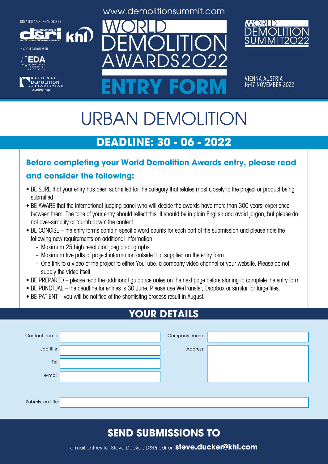**DEMOLITION &**









www.demolitionsummit.com



VIENNA AUSTRIA<br>16-17 NOVEMBER 2022 ENTRY FORM **16-17 NOVEMBER 2022** 

# URBAN DEMOLITION

# **DEADLINE: 30 - 06 - 2022**

#### **Before completing your World Demolition Awards entry, please read**

#### **and consider the following:**

khl

- BE SURE that your entry has been submitted for the category that relates most closely to the project or product being submitted
- BE AWARE that the international judging panel who will decide the awards have more than 300 years' experience between them. The tone of your entry should reflect this. It should be in plain English and avoid jargon, but please do not over-simplify or 'dumb down' the content
- BE CONCISE the entry forms contain specific word counts for each part of the submission and please note the following new requirements on additional information:
	- Maximum 25 high resolution jpeg photographs
	- Maximum five pdfs of project information outside that supplied on the entry form
	- One link to a video of the project to either YouTube, a company video channel or your website. Please do not supply the video itself
- BE PREPARED please read the additional guidance notes on the next page before starting to complete the entry form
- BE PUNCTUAL the deadline for entries is 30 June. Please use WeTransfer, Dropbox or similar for large files.
- BE PATIENT you will be notified of the shortlisting process result in August.

# **YOUR DETAILS**

| Contact name:     | Company name: |  |
|-------------------|---------------|--|
| Job title:        | Address:      |  |
| Tel:              |               |  |
| e-mail:           |               |  |
|                   |               |  |
| Submission title: |               |  |

# **SEND SUBMISSIONS TO**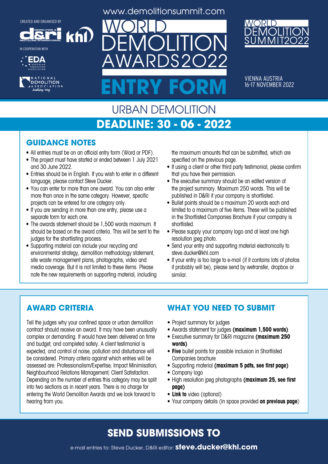**DEMOLITION &**

khl

**RECYCLING INTERNATIONAL** IN COOPERATION WITH





www.demolitionsummit.com

S'Z



VIENNA AUSTRIA<br>16-17 NOVEMBER 2022 ENTRY FORM **16-17 NOVEMBER 2022** 

#### URBAN DEMOLITION **DEADLINE: 30 - 06 - 2022**

#### **GUIDANCE NOTES**

- All entries must be on an official entry form (Word or PDF).
- The project must have started or ended between 1 July 2021 and 30 June 2022.
- Entries should be in English. If you wish to enter in a different language, please contact Steve Ducker.
- You can enter for more than one award. You can also enter more than once in the same category. However, specific projects can be entered for one category only.
- If you are sending in more than one entry, please use a separate form for each one.
- The awards statement should be 1,500 words maximum. It should be based on the award criteria. This will be sent to the judges for the shortlisting process.
- Supporting material can include your recycling and environmental strategy, demolition methodology statement, site waste management plans, photographs, video and media coverage. But it is not limited to these items. Please note the new requirements on supporting material, including

the maximum amounts that can be submitted, which are specified on the previous page.

- If using a client or other third party testimonial, please confirm that you have their permission.
- The executive summary should be an edited version of the project summary. Maximum 250 words. This will be published in D&Ri if your company is shortlisted.
- Bullet points should be a maximum 20 words each and limited to a maximum of five items. These will be published in the Shortlisted Companies Brochure if your company is shortlisted.
- Please supply your company logo and at least one high resolution jpeg photo.
- Send your entry and supporting material electronically to steve.ducker@khl.com
- If your entry is too large to e-mail (if it contains lots of photos it probably will be), please send by wetransfer, dropbox or similar.

#### **AWARD CRITERIA**

Tell the judges why your confined space or urban demolition contract should receive an award. It may have been unusually complex or demanding. It would have been delivered on time and budget, and completed safely. A client testimonial is expected, and control of noise, pollution and disturbance will be considered. Primary criteria against which entries will be assessed are: Professionalism/Expertise; Impact Minimisation; Neighbourhood Relations Management; Client Satisfaction. Depending on the number of entries this category may be split into two sections as in recent years. There is no charge for entering the World Demolition Awards and we look forward to hearing from you.

#### **WHAT YOU NEED TO SUBMIT**

- Project summary for judges
- • Awards statement for judges **(maximum 1,500 words)**
- • Executive summary for D&Ri magazine **(maximum 250 words)**
- **• Five** bullet points for possible inclusion in Shortlisted Companies brochure
- • Supporting material **(maximum 5 pdfs, see first page)**
- Company logo
- • High resolution jpeg photographs **(maximum 25, see first page)**
- **• Link to** video (optional)
- • Your company details (in space provided **on previous page**)

#### **SEND SUBMISSIONS TO**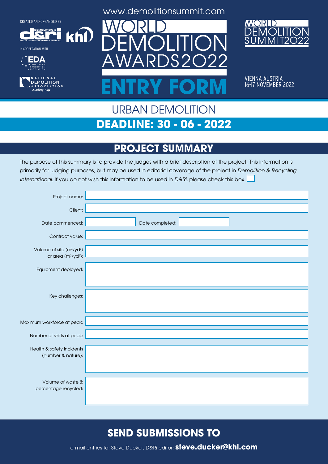**DEMOLITION &**

 $k$ h $\Omega$ 

**RECYCLING INTERNATIONAL**











VIENNA AUSTRIA<br>16-17 NOVEMBER 2022 ENTRY FORM **16-17 NOVEMBER 2022** 

## URBAN DEMOLITION **DEADLINE: 30 - 06 - 2022**

# **PROJECT SUMMARY**

The purpose of this summary is to provide the judges with a brief description of the project. This information is primarily for judging purposes, but may be used in editorial coverage of the project in Demolition & Recycling International. If you do not wish this information to be used in D&Ri, please check this box.

| Project name:                                                               |                 |
|-----------------------------------------------------------------------------|-----------------|
| Client:                                                                     |                 |
| Date commenced:                                                             | Date completed: |
| Contract value:                                                             |                 |
| Volume of site (m <sup>3</sup> /yd <sup>3</sup> )<br>or area $(m^2/yd^2)$ : |                 |
| Equipment deployed:                                                         |                 |
|                                                                             |                 |
| Key challenges:                                                             |                 |
|                                                                             |                 |
| Maximum workforce at peak:                                                  |                 |
| Number of shifts at peak:                                                   |                 |
| Health & safety incidents                                                   |                 |
| (number & nature):                                                          |                 |
|                                                                             |                 |
| Volume of waste &<br>percentage recycled:                                   |                 |
|                                                                             |                 |
|                                                                             |                 |

#### **SEND SUBMISSIONS TO**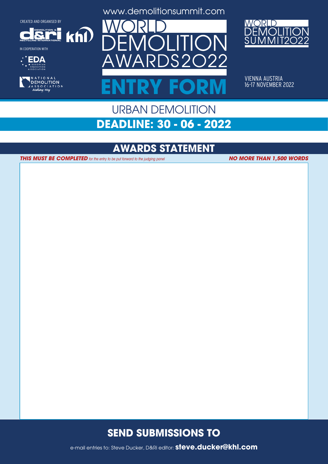**DEMOLITION &**

 $k$ h $\Omega$ 

**RECYCLING INTERNATIONAL**

IN COOPERATION WITH





www.demolitionsummit.com



VIENNA AUSTRIA<br>16-17 NOVEMBER 2022 ENTRY FORM **16-17 NOVEMBER 2022** 

## URBAN DEMOLITION **DEADLINE: 30 - 06 - 2022**

## **AWARDS STATEMENT**

**THIS MUST BE COMPLETED** for the entry to be put forward to the judging panel

**NO MORE THAN 1,500 WORDS**

#### **SEND SUBMISSIONS TO**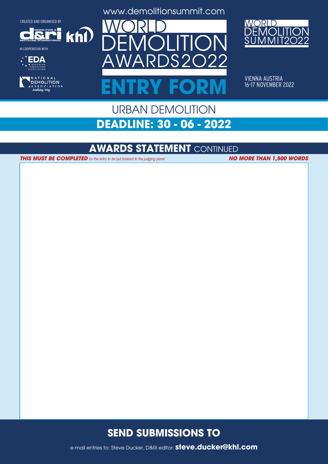**DEMOLITION &**

 $k$ h $\Omega$ 

**RECYCLING INTERNATIONAL**

IN COOPERATION WITH





www.demolitionsummit.com



VIENNA AUSTRIA<br>16-17 NOVEMBER 2022 ENTRY FORM **16-17 NOVEMBER 2022** 

## URBAN DEMOLITION **DEADLINE: 30 - 06 - 2022**

#### **AWARDS STATEMENT** CONTINUED

**THIS MUST BE COMPLETED** for the entry to be put forward to the judging panel **NO MORE THAN 1,500 WORDS** 

#### **SEND SUBMISSIONS TO**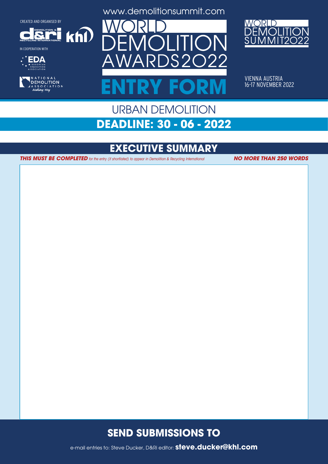**DEMOLITION &**

 $k$ h $\Omega$ 

**RECYCLING INTERNATIONAL**











VIENNA AUSTRIA<br>16-17 NOVEMBER 2022 ENTRY FORM **16-17 NOVEMBER 2022** 

## URBAN DEMOLITION **DEADLINE: 30 - 06 - 2022**

# **EXECUTIVE SUMMARY**

**THIS MUST BE COMPLETED** for the entry (if shortlisted) to appear in Demolition & Recycling International **NO MORE THAN 250 WORDS** 

#### **SEND SUBMISSIONS TO**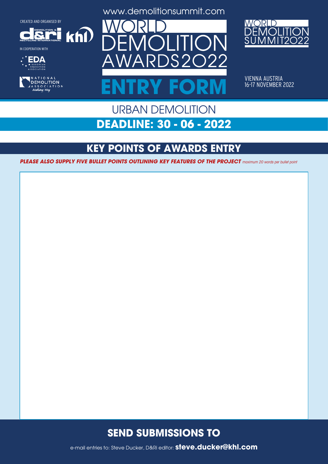**DEMOLITION &**

 $k$ h $\Omega$ 



IN COOPERATION WITH





www.demolitionsummit.com



VIENNA AUSTRIA<br>16-17 NOVEMBER 2022 ENTRY FORM **16-17 NOVEMBER 2022** 

#### URBAN DEMOLITION **DEADLINE: 30 - 06 - 2022**

# **KEY POINTS OF AWARDS ENTRY**

**PLEASE ALSO SUPPLY FIVE BULLET POINTS OUTLINING KEY FEATURES OF THE PROJECT** maximum 20 words per bullet point

#### **SEND SUBMISSIONS TO**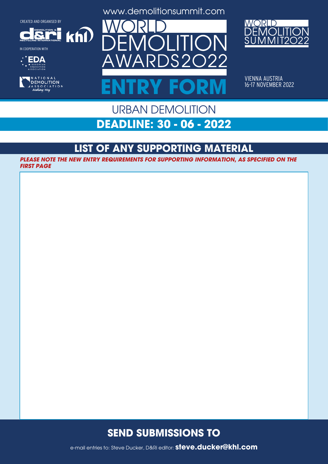**DEMOLITION &**

 $k$ n $\Omega$ 













VIENNA AUSTRIA<br>16-17 NOVEMBER 2022 ENTRY FORM **16-17 NOVEMBER 2022** 

#### URBAN DEMOLITION **DEADLINE: 30 - 06 - 2022**

# **LIST OF ANY SUPPORTING MATERIAL**

**PLEASE NOTE THE NEW ENTRY REQUIREMENTS FOR SUPPORTING INFORMATION, AS SPECIFIED ON THE FIRST PAGE**

#### **SEND SUBMISSIONS TO**